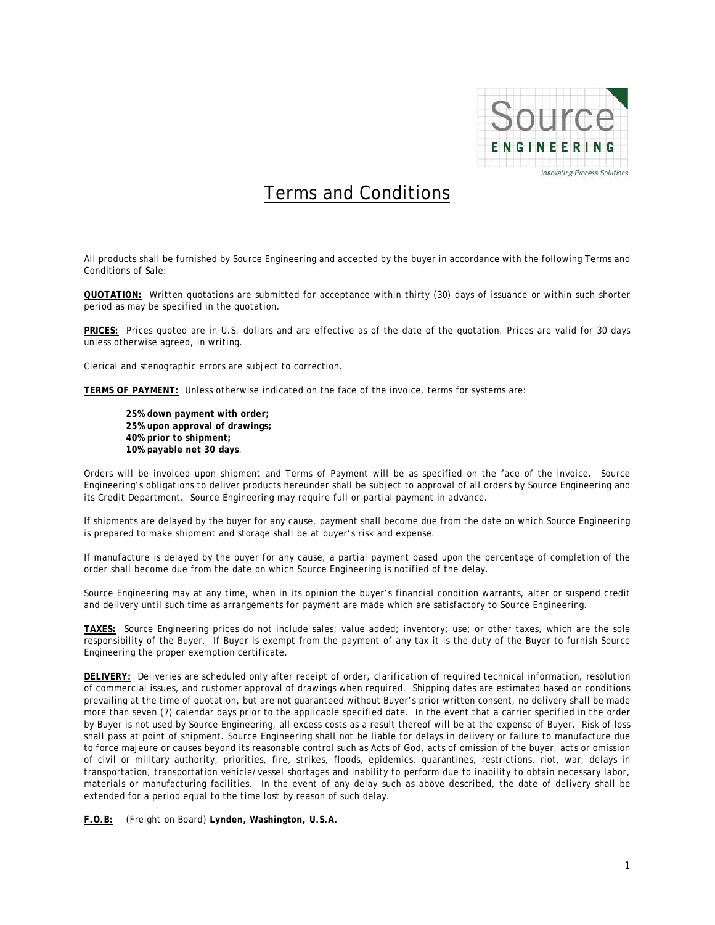

## Terms and Conditions

All products shall be furnished by Source Engineering and accepted by the buyer in accordance with the following Terms and Conditions of Sale:

**QUOTATION:** Written quotations are submitted for acceptance within thirty (30) days of issuance or within such shorter period as may be specified in the quotation.

**PRICES:** Prices quoted are in U.S. dollars and are effective as of the date of the quotation. Prices are valid for 30 days unless otherwise agreed, in writing.

Clerical and stenographic errors are subject to correction.

**TERMS OF PAYMENT:** Unless otherwise indicated on the face of the invoice, terms for systems are:

**25% down payment with order; 25% upon approval of drawings; 40% prior to shipment; 10% payable net 30 days**.

Orders will be invoiced upon shipment and Terms of Payment will be as specified on the face of the invoice. Source Engineering's obligations to deliver products hereunder shall be subject to approval of all orders by Source Engineering and its Credit Department. Source Engineering may require full or partial payment in advance.

If shipments are delayed by the buyer for any cause, payment shall become due from the date on which Source Engineering is prepared to make shipment and storage shall be at buyer's risk and expense.

If manufacture is delayed by the buyer for any cause, a partial payment based upon the percentage of completion of the order shall become due from the date on which Source Engineering is notified of the delay.

Source Engineering may at any time, when in its opinion the buyer's financial condition warrants, alter or suspend credit and delivery until such time as arrangements for payment are made which are satisfactory to Source Engineering.

**TAXES:** Source Engineering prices do not include sales; value added; inventory; use; or other taxes, which are the sole responsibility of the Buyer. If Buyer is exempt from the payment of any tax it is the duty of the Buyer to furnish Source Engineering the proper exemption certificate.

**DELIVERY:** Deliveries are scheduled only after receipt of order, clarification of required technical information, resolution of commercial issues, and customer approval of drawings when required. Shipping dates are estimated based on conditions prevailing at the time of quotation, but are not guaranteed without Buyer's prior written consent, no delivery shall be made more than seven (7) calendar days prior to the applicable specified date. In the event that a carrier specified in the order by Buyer is not used by Source Engineering, all excess costs as a result thereof will be at the expense of Buyer. Risk of loss shall pass at point of shipment. Source Engineering shall not be liable for delays in delivery or failure to manufacture due to force majeure or causes beyond its reasonable control such as Acts of God, acts of omission of the buyer, acts or omission of civil or military authority, priorities, fire, strikes, floods, epidemics, quarantines, restrictions, riot, war, delays in transportation, transportation vehicle/vessel shortages and inability to perform due to inability to obtain necessary labor, materials or manufacturing facilities. In the event of any delay such as above described, the date of delivery shall be extended for a period equal to the time lost by reason of such delay.

**F.O.B:** (Freight on Board) **Lynden, Washington, U.S.A.**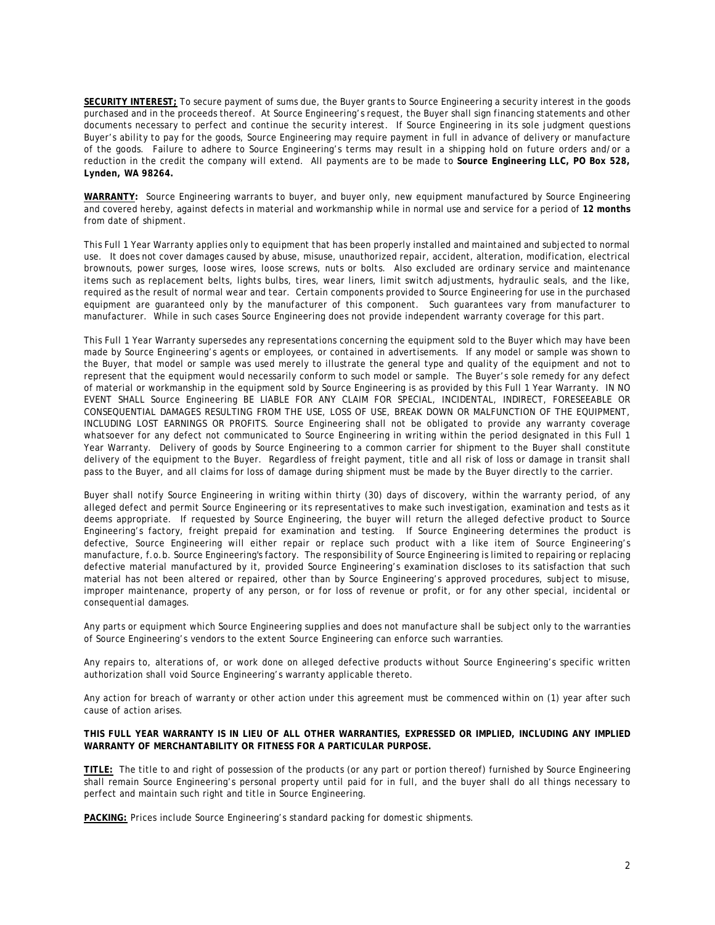**SECURITY INTEREST;** To secure payment of sums due, the Buyer grants to Source Engineering a security interest in the goods purchased and in the proceeds thereof. At Source Engineering's request, the Buyer shall sign financing statements and other documents necessary to perfect and continue the security interest. If Source Engineering in its sole judgment questions Buyer's ability to pay for the goods, Source Engineering may require payment in full in advance of delivery or manufacture of the goods. Failure to adhere to Source Engineering's terms may result in a shipping hold on future orders and/or a reduction in the credit the company will extend. All payments are to be made to **Source Engineering LLC, PO Box 528, Lynden, WA 98264.**

**WARRANTY:** Source Engineering warrants to buyer, and buyer only, new equipment manufactured by Source Engineering and covered hereby, against defects in material and workmanship while in normal use and service for a period of **12 months** from date of shipment.

This Full 1 Year Warranty applies only to equipment that has been properly installed and maintained and subjected to normal use. It does not cover damages caused by abuse, misuse, unauthorized repair, accident, alteration, modification, electrical brownouts, power surges, loose wires, loose screws, nuts or bolts. Also excluded are ordinary service and maintenance items such as replacement belts, lights bulbs, tires, wear liners, limit switch adjustments, hydraulic seals, and the like, required as the result of normal wear and tear. Certain components provided to Source Engineering for use in the purchased equipment are guaranteed only by the manufacturer of this component. Such guarantees vary from manufacturer to manufacturer. While in such cases Source Engineering does not provide independent warranty coverage for this part.

This Full 1 Year Warranty supersedes any representations concerning the equipment sold to the Buyer which may have been made by Source Engineering's agents or employees, or contained in advertisements. If any model or sample was shown to the Buyer, that model or sample was used merely to illustrate the general type and quality of the equipment and not to represent that the equipment would necessarily conform to such model or sample. The Buyer's sole remedy for any defect of material or workmanship in the equipment sold by Source Engineering is as provided by this Full 1 Year Warranty. IN NO EVENT SHALL Source Engineering BE LIABLE FOR ANY CLAIM FOR SPECIAL, INCIDENTAL, INDIRECT, FORESEEABLE OR CONSEQUENTIAL DAMAGES RESULTING FROM THE USE, LOSS OF USE, BREAK DOWN OR MALFUNCTION OF THE EQUIPMENT, INCLUDING LOST EARNINGS OR PROFITS. Source Engineering shall not be obligated to provide any warranty coverage whatsoever for any defect not communicated to Source Engineering in writing within the period designated in this Full 1 Year Warranty. Delivery of goods by Source Engineering to a common carrier for shipment to the Buyer shall constitute delivery of the equipment to the Buyer. Regardless of freight payment, title and all risk of loss or damage in transit shall pass to the Buyer, and all claims for loss of damage during shipment must be made by the Buyer directly to the carrier.

Buyer shall notify Source Engineering in writing within thirty (30) days of discovery, within the warranty period, of any alleged defect and permit Source Engineering or its representatives to make such investigation, examination and tests as it deems appropriate. If requested by Source Engineering, the buyer will return the alleged defective product to Source Engineering's factory, freight prepaid for examination and testing. If Source Engineering determines the product is defective, Source Engineering will either repair or replace such product with a like item of Source Engineering's manufacture, f.o.b. Source Engineering's factory. The responsibility of Source Engineering is limited to repairing or replacing defective material manufactured by it, provided Source Engineering's examination discloses to its satisfaction that such material has not been altered or repaired, other than by Source Engineering's approved procedures, subject to misuse, improper maintenance, property of any person, or for loss of revenue or profit, or for any other special, incidental or consequential damages.

Any parts or equipment which Source Engineering supplies and does not manufacture shall be subject only to the warranties of Source Engineering's vendors to the extent Source Engineering can enforce such warranties.

Any repairs to, alterations of, or work done on alleged defective products without Source Engineering's specific written authorization shall void Source Engineering's warranty applicable thereto.

Any action for breach of warranty or other action under this agreement must be commenced within on (1) year after such cause of action arises.

## **THIS FULL YEAR WARRANTY IS IN LIEU OF ALL OTHER WARRANTIES, EXPRESSED OR IMPLIED, INCLUDING ANY IMPLIED WARRANTY OF MERCHANTABILITY OR FITNESS FOR A PARTICULAR PURPOSE.**

**TITLE:** The title to and right of possession of the products (or any part or portion thereof) furnished by Source Engineering shall remain Source Engineering's personal property until paid for in full, and the buyer shall do all things necessary to perfect and maintain such right and title in Source Engineering.

**PACKING:** Prices include Source Engineering's standard packing for domestic shipments.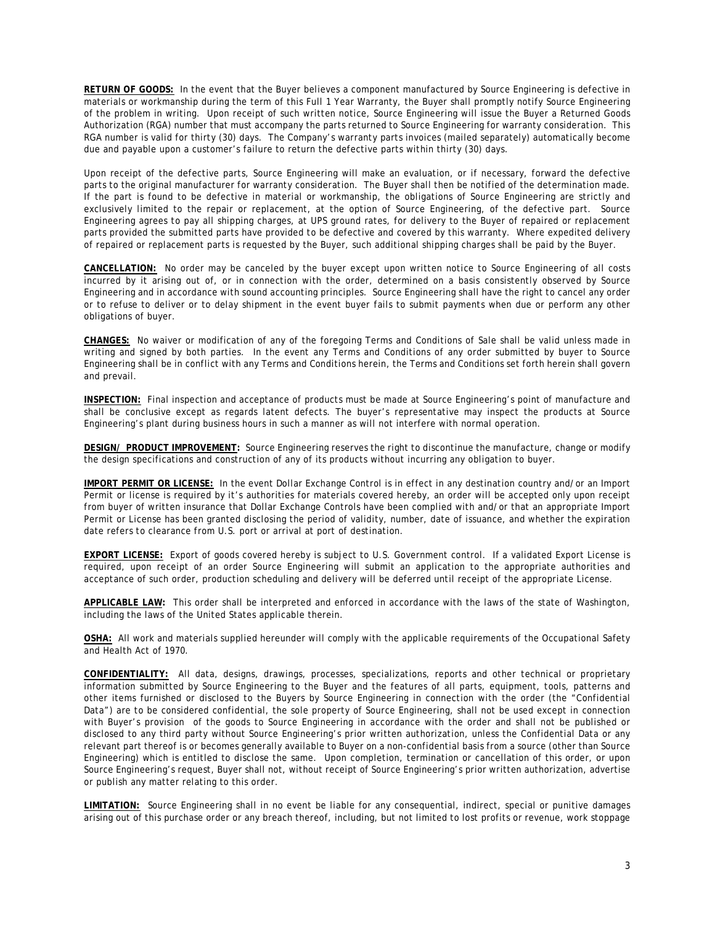**RETURN OF GOODS:** In the event that the Buyer believes a component manufactured by Source Engineering is defective in materials or workmanship during the term of this Full 1 Year Warranty, the Buyer shall promptly notify Source Engineering of the problem in writing. Upon receipt of such written notice, Source Engineering will issue the Buyer a Returned Goods Authorization (RGA) number that must accompany the parts returned to Source Engineering for warranty consideration. This RGA number is valid for thirty (30) days. The Company's warranty parts invoices (mailed separately) automatically become due and payable upon a customer's failure to return the defective parts within thirty (30) days.

Upon receipt of the defective parts, Source Engineering will make an evaluation, or if necessary, forward the defective parts to the original manufacturer for warranty consideration. The Buyer shall then be notified of the determination made. If the part is found to be defective in material or workmanship, the obligations of Source Engineering are strictly and exclusively limited to the repair or replacement, at the option of Source Engineering, of the defective part. Source Engineering agrees to pay all shipping charges, at UPS ground rates, for delivery to the Buyer of repaired or replacement parts provided the submitted parts have provided to be defective and covered by this warranty. Where expedited delivery of repaired or replacement parts is requested by the Buyer, such additional shipping charges shall be paid by the Buyer.

**CANCELLATION:** No order may be canceled by the buyer except upon written notice to Source Engineering of all costs incurred by it arising out of, or in connection with the order, determined on a basis consistently observed by Source Engineering and in accordance with sound accounting principles. Source Engineering shall have the right to cancel any order or to refuse to deliver or to delay shipment in the event buyer fails to submit payments when due or perform any other obligations of buyer.

**CHANGES:** No waiver or modification of any of the foregoing Terms and Conditions of Sale shall be valid unless made in writing and signed by both parties. In the event any Terms and Conditions of any order submitted by buyer to Source Engineering shall be in conflict with any Terms and Conditions herein, the Terms and Conditions set forth herein shall govern and prevail.

**INSPECTION:** Final inspection and acceptance of products must be made at Source Engineering's point of manufacture and shall be conclusive except as regards latent defects. The buyer's representative may inspect the products at Source Engineering's plant during business hours in such a manner as will not interfere with normal operation.

**DESIGN/ PRODUCT IMPROVEMENT:** Source Engineering reserves the right to discontinue the manufacture, change or modify the design specifications and construction of any of its products without incurring any obligation to buyer.

**IMPORT PERMIT OR LICENSE:** In the event Dollar Exchange Control is in effect in any destination country and/or an Import Permit or license is required by it's authorities for materials covered hereby, an order will be accepted only upon receipt from buyer of written insurance that Dollar Exchange Controls have been complied with and/or that an appropriate Import Permit or License has been granted disclosing the period of validity, number, date of issuance, and whether the expiration date refers to clearance from U.S. port or arrival at port of destination.

**EXPORT LICENSE:** Export of goods covered hereby is subject to U.S. Government control. If a validated Export License is required, upon receipt of an order Source Engineering will submit an application to the appropriate authorities and acceptance of such order, production scheduling and delivery will be deferred until receipt of the appropriate License.

**APPLICABLE LAW:** This order shall be interpreted and enforced in accordance with the laws of the state of Washington, including the laws of the United States applicable therein.

**OSHA:** All work and materials supplied hereunder will comply with the applicable requirements of the Occupational Safety and Health Act of 1970.

**CONFIDENTIALITY:** All data, designs, drawings, processes, specializations, reports and other technical or proprietary information submitted by Source Engineering to the Buyer and the features of all parts, equipment, tools, patterns and other items furnished or disclosed to the Buyers by Source Engineering in connection with the order (the "Confidential Data") are to be considered confidential, the sole property of Source Engineering, shall not be used except in connection with Buyer's provision of the goods to Source Engineering in accordance with the order and shall not be published or disclosed to any third party without Source Engineering's prior written authorization, unless the Confidential Data or any relevant part thereof is or becomes generally available to Buyer on a non-confidential basis from a source (other than Source Engineering) which is entitled to disclose the same. Upon completion, termination or cancellation of this order, or upon Source Engineering's request, Buyer shall not, without receipt of Source Engineering's prior written authorization, advertise or publish any matter relating to this order.

**LIMITATION:** Source Engineering shall in no event be liable for any consequential, indirect, special or punitive damages arising out of this purchase order or any breach thereof, including, but not limited to lost profits or revenue, work stoppage